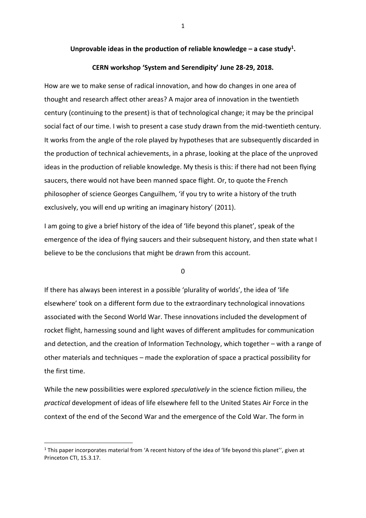## **Unprovable ideas in the production of reliable knowledge – a case study<sup>1</sup> .**

## **CERN workshop 'System and Serendipity' June 28-29, 2018.**

How are we to make sense of radical innovation, and how do changes in one area of thought and research affect other areas? A major area of innovation in the twentieth century (continuing to the present) is that of technological change; it may be the principal social fact of our time. I wish to present a case study drawn from the mid-twentieth century. It works from the angle of the role played by hypotheses that are subsequently discarded in the production of technical achievements, in a phrase, looking at the place of the unproved ideas in the production of reliable knowledge. My thesis is this: if there had not been flying saucers, there would not have been manned space flight. Or, to quote the French philosopher of science Georges Canguilhem, 'if you try to write a history of the truth exclusively, you will end up writing an imaginary history' (2011).

I am going to give a brief history of the idea of 'life beyond this planet', speak of the emergence of the idea of flying saucers and their subsequent history, and then state what I believe to be the conclusions that might be drawn from this account.

0

If there has always been interest in a possible 'plurality of worlds', the idea of 'life elsewhere' took on a different form due to the extraordinary technological innovations associated with the Second World War. These innovations included the development of rocket flight, harnessing sound and light waves of different amplitudes for communication and detection, and the creation of Information Technology, which together – with a range of other materials and techniques – made the exploration of space a practical possibility for the first time.

While the new possibilities were explored *speculatively* in the science fiction milieu, the *practical* development of ideas of life elsewhere fell to the United States Air Force in the context of the end of the Second War and the emergence of the Cold War. The form in

**.** 

 $1$  This paper incorporates material from 'A recent history of the idea of 'life beyond this planet'', given at Princeton CTI, 15.3.17.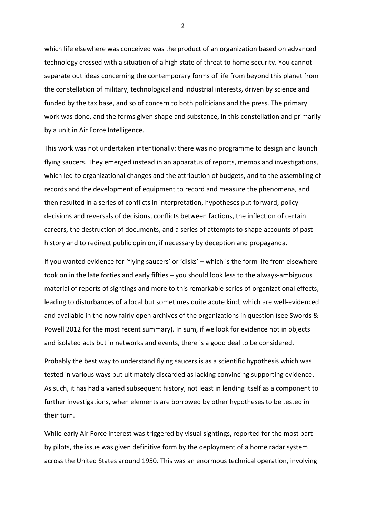which life elsewhere was conceived was the product of an organization based on advanced technology crossed with a situation of a high state of threat to home security. You cannot separate out ideas concerning the contemporary forms of life from beyond this planet from the constellation of military, technological and industrial interests, driven by science and funded by the tax base, and so of concern to both politicians and the press. The primary work was done, and the forms given shape and substance, in this constellation and primarily by a unit in Air Force Intelligence.

This work was not undertaken intentionally: there was no programme to design and launch flying saucers. They emerged instead in an apparatus of reports, memos and investigations, which led to organizational changes and the attribution of budgets, and to the assembling of records and the development of equipment to record and measure the phenomena, and then resulted in a series of conflicts in interpretation, hypotheses put forward, policy decisions and reversals of decisions, conflicts between factions, the inflection of certain careers, the destruction of documents, and a series of attempts to shape accounts of past history and to redirect public opinion, if necessary by deception and propaganda.

If you wanted evidence for 'flying saucers' or 'disks' – which is the form life from elsewhere took on in the late forties and early fifties – you should look less to the always-ambiguous material of reports of sightings and more to this remarkable series of organizational effects, leading to disturbances of a local but sometimes quite acute kind, which are well-evidenced and available in the now fairly open archives of the organizations in question (see Swords & Powell 2012 for the most recent summary). In sum, if we look for evidence not in objects and isolated acts but in networks and events, there is a good deal to be considered.

Probably the best way to understand flying saucers is as a scientific hypothesis which was tested in various ways but ultimately discarded as lacking convincing supporting evidence. As such, it has had a varied subsequent history, not least in lending itself as a component to further investigations, when elements are borrowed by other hypotheses to be tested in their turn.

While early Air Force interest was triggered by visual sightings, reported for the most part by pilots, the issue was given definitive form by the deployment of a home radar system across the United States around 1950. This was an enormous technical operation, involving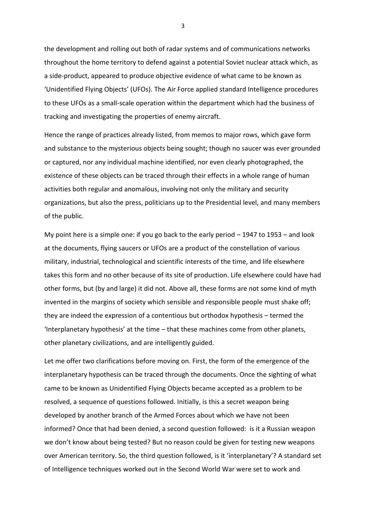the development and rolling out both of radar systems and of communications networks throughout the home territory to defend against a potential Soviet nuclear attack which, as a side-product, appeared to produce objective evidence of what came to be known as 'Unidentified Flying Objects' (UFOs). The Air Force applied standard Intelligence procedures to these UFOs as a small-scale operation within the department which had the business of tracking and investigating the properties of enemy aircraft.

Hence the range of practices already listed, from memos to major rows, which gave form and substance to the mysterious objects being sought; though no saucer was ever grounded or captured, nor any individual machine identified, nor even clearly photographed, the existence of these objects can be traced through their effects in a whole range of human activities both regular and anomalous, involving not only the military and security organizations, but also the press, politicians up to the Presidential level, and many members of the public.

My point here is a simple one: if you go back to the early period – 1947 to 1953 – and look at the documents, flying saucers or UFOs are a product of the constellation of various military, industrial, technological and scientific interests of the time, and life elsewhere takes this form and no other because of its site of production. Life elsewhere could have had other forms, but (by and large) it did not. Above all, these forms are not some kind of myth invented in the margins of society which sensible and responsible people must shake off; they are indeed the expression of a contentious but orthodox hypothesis – termed the 'Interplanetary hypothesis' at the time – that these machines come from other planets, other planetary civilizations, and are intelligently guided.

Let me offer two clarifications before moving on. First, the form of the emergence of the interplanetary hypothesis can be traced through the documents. Once the sighting of what came to be known as Unidentified Flying Objects became accepted as a problem to be resolved, a sequence of questions followed. Initially, is this a secret weapon being developed by another branch of the Armed Forces about which we have not been informed? Once that had been denied, a second question followed: is it a Russian weapon we don't know about being tested? But no reason could be given for testing new weapons over American territory. So, the third question followed, is it 'interplanetary'? A standard set of Intelligence techniques worked out in the Second World War were set to work and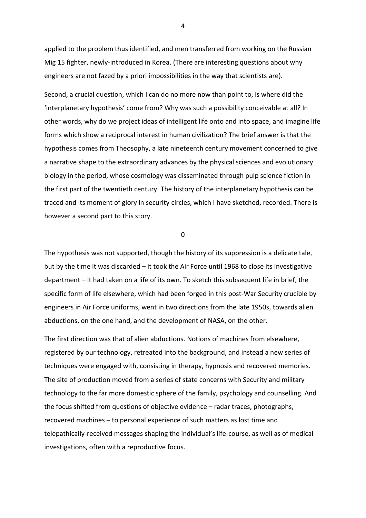applied to the problem thus identified, and men transferred from working on the Russian Mig 15 fighter, newly-introduced in Korea. (There are interesting questions about why engineers are not fazed by a priori impossibilities in the way that scientists are).

Second, a crucial question, which I can do no more now than point to, is where did the 'interplanetary hypothesis' come from? Why was such a possibility conceivable at all? In other words, why do we project ideas of intelligent life onto and into space, and imagine life forms which show a reciprocal interest in human civilization? The brief answer is that the hypothesis comes from Theosophy, a late nineteenth century movement concerned to give a narrative shape to the extraordinary advances by the physical sciences and evolutionary biology in the period, whose cosmology was disseminated through pulp science fiction in the first part of the twentieth century. The history of the interplanetary hypothesis can be traced and its moment of glory in security circles, which I have sketched, recorded. There is however a second part to this story.

0

The hypothesis was not supported, though the history of its suppression is a delicate tale, but by the time it was discarded – it took the Air Force until 1968 to close its investigative department – it had taken on a life of its own. To sketch this subsequent life in brief, the specific form of life elsewhere, which had been forged in this post-War Security crucible by engineers in Air Force uniforms, went in two directions from the late 1950s, towards alien abductions, on the one hand, and the development of NASA, on the other.

The first direction was that of alien abductions. Notions of machines from elsewhere, registered by our technology, retreated into the background, and instead a new series of techniques were engaged with, consisting in therapy, hypnosis and recovered memories. The site of production moved from a series of state concerns with Security and military technology to the far more domestic sphere of the family, psychology and counselling. And the focus shifted from questions of objective evidence – radar traces, photographs, recovered machines – to personal experience of such matters as lost time and telepathically-received messages shaping the individual's life-course, as well as of medical investigations, often with a reproductive focus.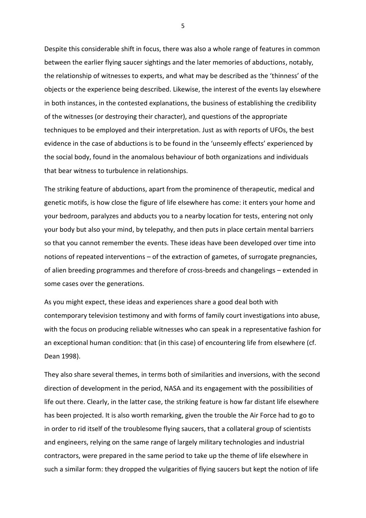Despite this considerable shift in focus, there was also a whole range of features in common between the earlier flying saucer sightings and the later memories of abductions, notably, the relationship of witnesses to experts, and what may be described as the 'thinness' of the objects or the experience being described. Likewise, the interest of the events lay elsewhere in both instances, in the contested explanations, the business of establishing the credibility of the witnesses (or destroying their character), and questions of the appropriate techniques to be employed and their interpretation. Just as with reports of UFOs, the best evidence in the case of abductions is to be found in the 'unseemly effects' experienced by the social body, found in the anomalous behaviour of both organizations and individuals that bear witness to turbulence in relationships.

The striking feature of abductions, apart from the prominence of therapeutic, medical and genetic motifs, is how close the figure of life elsewhere has come: it enters your home and your bedroom, paralyzes and abducts you to a nearby location for tests, entering not only your body but also your mind, by telepathy, and then puts in place certain mental barriers so that you cannot remember the events. These ideas have been developed over time into notions of repeated interventions – of the extraction of gametes, of surrogate pregnancies, of alien breeding programmes and therefore of cross-breeds and changelings – extended in some cases over the generations.

As you might expect, these ideas and experiences share a good deal both with contemporary television testimony and with forms of family court investigations into abuse, with the focus on producing reliable witnesses who can speak in a representative fashion for an exceptional human condition: that (in this case) of encountering life from elsewhere (cf. Dean 1998).

They also share several themes, in terms both of similarities and inversions, with the second direction of development in the period, NASA and its engagement with the possibilities of life out there. Clearly, in the latter case, the striking feature is how far distant life elsewhere has been projected. It is also worth remarking, given the trouble the Air Force had to go to in order to rid itself of the troublesome flying saucers, that a collateral group of scientists and engineers, relying on the same range of largely military technologies and industrial contractors, were prepared in the same period to take up the theme of life elsewhere in such a similar form: they dropped the vulgarities of flying saucers but kept the notion of life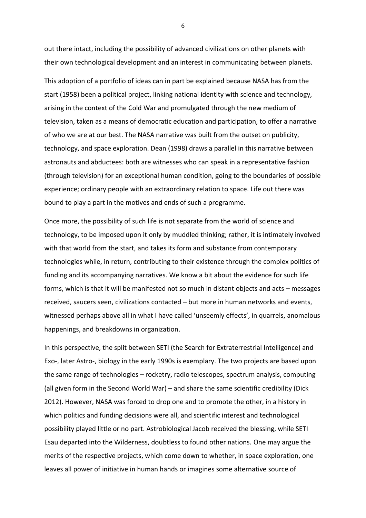out there intact, including the possibility of advanced civilizations on other planets with their own technological development and an interest in communicating between planets.

This adoption of a portfolio of ideas can in part be explained because NASA has from the start (1958) been a political project, linking national identity with science and technology, arising in the context of the Cold War and promulgated through the new medium of television, taken as a means of democratic education and participation, to offer a narrative of who we are at our best. The NASA narrative was built from the outset on publicity, technology, and space exploration. Dean (1998) draws a parallel in this narrative between astronauts and abductees: both are witnesses who can speak in a representative fashion (through television) for an exceptional human condition, going to the boundaries of possible experience; ordinary people with an extraordinary relation to space. Life out there was bound to play a part in the motives and ends of such a programme.

Once more, the possibility of such life is not separate from the world of science and technology, to be imposed upon it only by muddled thinking; rather, it is intimately involved with that world from the start, and takes its form and substance from contemporary technologies while, in return, contributing to their existence through the complex politics of funding and its accompanying narratives. We know a bit about the evidence for such life forms, which is that it will be manifested not so much in distant objects and acts – messages received, saucers seen, civilizations contacted – but more in human networks and events, witnessed perhaps above all in what I have called 'unseemly effects', in quarrels, anomalous happenings, and breakdowns in organization.

In this perspective, the split between SETI (the Search for Extraterrestrial Intelligence) and Exo-, later Astro-, biology in the early 1990s is exemplary. The two projects are based upon the same range of technologies – rocketry, radio telescopes, spectrum analysis, computing (all given form in the Second World War) – and share the same scientific credibility (Dick 2012). However, NASA was forced to drop one and to promote the other, in a history in which politics and funding decisions were all, and scientific interest and technological possibility played little or no part. Astrobiological Jacob received the blessing, while SETI Esau departed into the Wilderness, doubtless to found other nations. One may argue the merits of the respective projects, which come down to whether, in space exploration, one leaves all power of initiative in human hands or imagines some alternative source of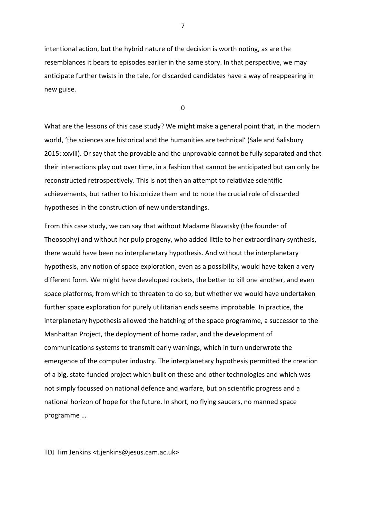intentional action, but the hybrid nature of the decision is worth noting, as are the resemblances it bears to episodes earlier in the same story. In that perspective, we may anticipate further twists in the tale, for discarded candidates have a way of reappearing in new guise.

0

What are the lessons of this case study? We might make a general point that, in the modern world, 'the sciences are historical and the humanities are technical' (Sale and Salisbury 2015: xxviii). Or say that the provable and the unprovable cannot be fully separated and that their interactions play out over time, in a fashion that cannot be anticipated but can only be reconstructed retrospectively. This is not then an attempt to relativize scientific achievements, but rather to historicize them and to note the crucial role of discarded hypotheses in the construction of new understandings.

From this case study, we can say that without Madame Blavatsky (the founder of Theosophy) and without her pulp progeny, who added little to her extraordinary synthesis, there would have been no interplanetary hypothesis. And without the interplanetary hypothesis, any notion of space exploration, even as a possibility, would have taken a very different form. We might have developed rockets, the better to kill one another, and even space platforms, from which to threaten to do so, but whether we would have undertaken further space exploration for purely utilitarian ends seems improbable. In practice, the interplanetary hypothesis allowed the hatching of the space programme, a successor to the Manhattan Project, the deployment of home radar, and the development of communications systems to transmit early warnings, which in turn underwrote the emergence of the computer industry. The interplanetary hypothesis permitted the creation of a big, state-funded project which built on these and other technologies and which was not simply focussed on national defence and warfare, but on scientific progress and a national horizon of hope for the future. In short, no flying saucers, no manned space programme …

TDJ Tim Jenkins <t.jenkins@jesus.cam.ac.uk>